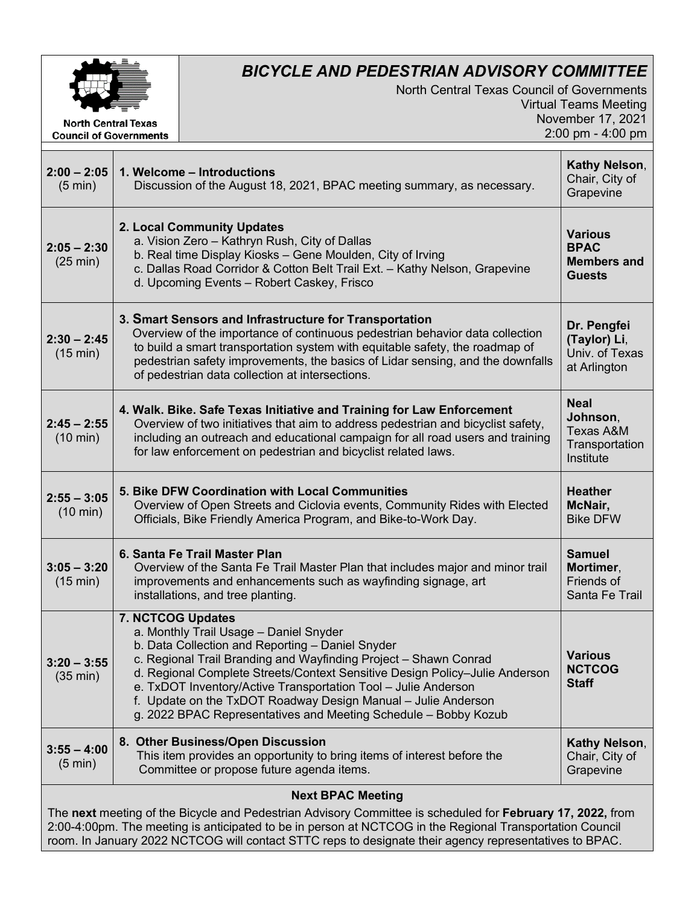

**Council of Governments** 

## *BICYCLE AND PEDESTRIAN ADVISORY COMMITTEE*

North Central Texas Council of Governments Virtual Teams Meeting November 17, 2021 2:00 pm - 4:00 pm

| $2:00 - 2:05$<br>$(5 \text{ min})$                                                                                                                                                                                     | 1. Welcome - Introductions<br>Discussion of the August 18, 2021, BPAC meeting summary, as necessary.                                                                                                                                                                                                                                                                                                                                                                     | Kathy Nelson,<br>Chair, City of<br>Grapevine                                   |
|------------------------------------------------------------------------------------------------------------------------------------------------------------------------------------------------------------------------|--------------------------------------------------------------------------------------------------------------------------------------------------------------------------------------------------------------------------------------------------------------------------------------------------------------------------------------------------------------------------------------------------------------------------------------------------------------------------|--------------------------------------------------------------------------------|
| $2:05 - 2:30$<br>(25 min)                                                                                                                                                                                              | 2. Local Community Updates<br>a. Vision Zero - Kathryn Rush, City of Dallas<br>b. Real time Display Kiosks - Gene Moulden, City of Irving<br>c. Dallas Road Corridor & Cotton Belt Trail Ext. - Kathy Nelson, Grapevine<br>d. Upcoming Events - Robert Caskey, Frisco                                                                                                                                                                                                    | <b>Various</b><br><b>BPAC</b><br><b>Members and</b><br><b>Guests</b>           |
| $2:30 - 2:45$<br>(15 min)                                                                                                                                                                                              | 3. Smart Sensors and Infrastructure for Transportation<br>Overview of the importance of continuous pedestrian behavior data collection<br>to build a smart transportation system with equitable safety, the roadmap of<br>pedestrian safety improvements, the basics of Lidar sensing, and the downfalls<br>of pedestrian data collection at intersections.                                                                                                              | Dr. Pengfei<br>(Taylor) Li,<br>Univ. of Texas<br>at Arlington                  |
| $2:45 - 2:55$<br>$(10 \text{ min})$                                                                                                                                                                                    | 4. Walk. Bike. Safe Texas Initiative and Training for Law Enforcement<br>Overview of two initiatives that aim to address pedestrian and bicyclist safety,<br>including an outreach and educational campaign for all road users and training<br>for law enforcement on pedestrian and bicyclist related laws.                                                                                                                                                             | <b>Neal</b><br>Johnson,<br><b>Texas A&amp;M</b><br>Transportation<br>Institute |
| $2:55 - 3:05$<br>$(10 \text{ min})$                                                                                                                                                                                    | 5. Bike DFW Coordination with Local Communities<br>Overview of Open Streets and Ciclovia events, Community Rides with Elected<br>Officials, Bike Friendly America Program, and Bike-to-Work Day.                                                                                                                                                                                                                                                                         | <b>Heather</b><br>McNair,<br><b>Bike DFW</b>                                   |
| $3:05 - 3:20$<br>(15 min)                                                                                                                                                                                              | 6. Santa Fe Trail Master Plan<br>Overview of the Santa Fe Trail Master Plan that includes major and minor trail<br>improvements and enhancements such as wayfinding signage, art<br>installations, and tree planting.                                                                                                                                                                                                                                                    | <b>Samuel</b><br>Mortimer,<br>Friends of<br>Santa Fe Trail                     |
| $3:20 - 3:55$<br>$(35 \text{ min})$                                                                                                                                                                                    | 7. NCTCOG Updates<br>a. Monthly Trail Usage - Daniel Snyder<br>b. Data Collection and Reporting - Daniel Snyder<br>c. Regional Trail Branding and Wayfinding Project - Shawn Conrad<br>d. Regional Complete Streets/Context Sensitive Design Policy-Julie Anderson<br>e. TxDOT Inventory/Active Transportation Tool - Julie Anderson<br>f. Update on the TxDOT Roadway Design Manual - Julie Anderson<br>g. 2022 BPAC Representatives and Meeting Schedule - Bobby Kozub | <b>Various</b><br><b>NCTCOG</b><br><b>Staff</b>                                |
| $3:55 - 4:00$<br>$(5 \text{ min})$                                                                                                                                                                                     | 8. Other Business/Open Discussion<br>This item provides an opportunity to bring items of interest before the<br>Committee or propose future agenda items.                                                                                                                                                                                                                                                                                                                | Kathy Nelson,<br>Chair, City of<br>Grapevine                                   |
| <b>Next BPAC Meeting</b>                                                                                                                                                                                               |                                                                                                                                                                                                                                                                                                                                                                                                                                                                          |                                                                                |
| The next meeting of the Bicycle and Pedestrian Advisory Committee is scheduled for February 17, 2022, from<br>2:00-4:00pm. The meeting is anticipated to be in person at NCTCOG in the Regional Transportation Council |                                                                                                                                                                                                                                                                                                                                                                                                                                                                          |                                                                                |

room. In January 2022 NCTCOG will contact STTC reps to designate their agency representatives to BPAC.